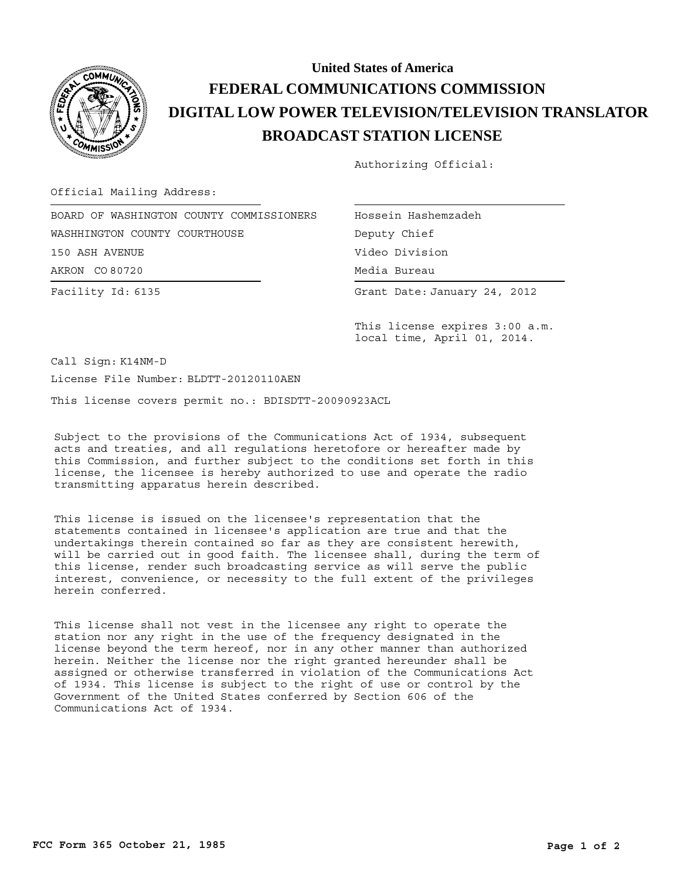

## **BROADCAST STATION LICENSE DIGITAL LOW POWER TELEVISION/TELEVISION TRANSLATOR FEDERAL COMMUNICATIONS COMMISSION United States of America**

Authorizing Official:

Official Mailing Address:

Facility Id: 6135 AKRON CO 80720 BOARD OF WASHINGTON COUNTY COMMISSIONERS WASHHINGTON COUNTY COURTHOUSE 150 ASH AVENUE

Hossein Hashemzadeh Media Bureau Media Bureau Deputy Chief Video Division

Grant Date: January 24, 2012

This license expires 3:00 a.m. local time, April 01, 2014.

Call Sign: K14NM-D License File Number: BLDTT-20120110AEN

This license covers permit no.: BDISDTT-20090923ACL

Subject to the provisions of the Communications Act of 1934, subsequent acts and treaties, and all regulations heretofore or hereafter made by this Commission, and further subject to the conditions set forth in this license, the licensee is hereby authorized to use and operate the radio transmitting apparatus herein described.

This license is issued on the licensee's representation that the statements contained in licensee's application are true and that the undertakings therein contained so far as they are consistent herewith, will be carried out in good faith. The licensee shall, during the term of this license, render such broadcasting service as will serve the public interest, convenience, or necessity to the full extent of the privileges herein conferred.

This license shall not vest in the licensee any right to operate the station nor any right in the use of the frequency designated in the license beyond the term hereof, nor in any other manner than authorized herein. Neither the license nor the right granted hereunder shall be assigned or otherwise transferred in violation of the Communications Act of 1934. This license is subject to the right of use or control by the Government of the United States conferred by Section 606 of the Communications Act of 1934.